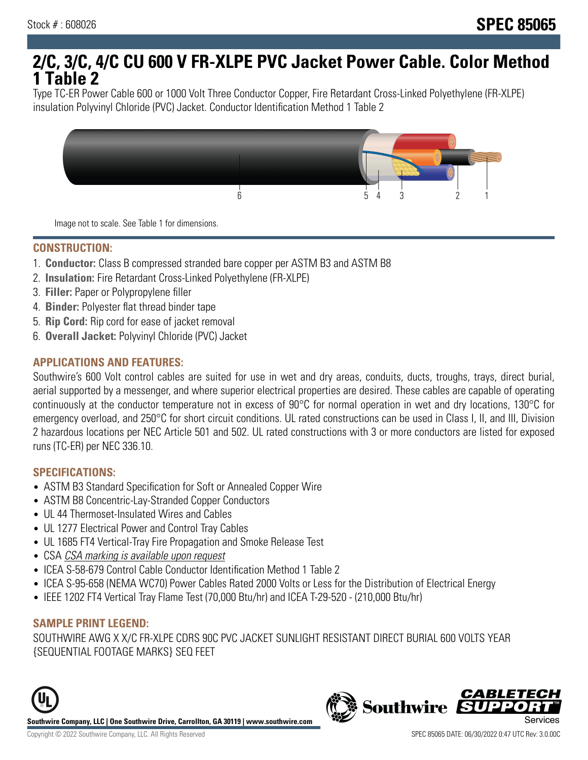# **2/C, 3/C, 4/C CU 600 V FR-XLPE PVC Jacket Power Cable. Color Method 1 Table 2**

Type TC-ER Power Cable 600 or 1000 Volt Three Conductor Copper, Fire Retardant Cross-Linked Polyethylene (FR-XLPE) insulation Polyvinyl Chloride (PVC) Jacket. Conductor Identification Method 1 Table 2



Image not to scale. See Table 1 for dimensions.

#### **CONSTRUCTION:**

- 1. **Conductor:** Class B compressed stranded bare copper per ASTM B3 and ASTM B8
- 2. **Insulation:** Fire Retardant Cross-Linked Polyethylene (FR-XLPE)
- 3. **Filler:** Paper or Polypropylene filler
- 4. **Binder:** Polyester flat thread binder tape
- 5. **Rip Cord:** Rip cord for ease of jacket removal
- 6. **Overall Jacket:** Polyvinyl Chloride (PVC) Jacket

## **APPLICATIONS AND FEATURES:**

Southwire's 600 Volt control cables are suited for use in wet and dry areas, conduits, ducts, troughs, trays, direct burial, aerial supported by a messenger, and where superior electrical properties are desired. These cables are capable of operating continuously at the conductor temperature not in excess of 90°C for normal operation in wet and dry locations, 130°C for emergency overload, and 250°C for short circuit conditions. UL rated constructions can be used in Class I, II, and III, Division 2 hazardous locations per NEC Article 501 and 502. UL rated constructions with 3 or more conductors are listed for exposed runs (TC-ER) per NEC 336.10.

#### **SPECIFICATIONS:**

- ASTM B3 Standard Specification for Soft or Annealed Copper Wire
- ASTM B8 Concentric-Lay-Stranded Copper Conductors
- UL 44 Thermoset-Insulated Wires and Cables
- UL 1277 Electrical Power and Control Tray Cables
- UL 1685 FT4 Vertical-Tray Fire Propagation and Smoke Release Test
- CSA CSA marking is available upon request
- ICEA S-58-679 Control Cable Conductor Identification Method 1 Table 2
- ICEA S-95-658 (NEMA WC70) Power Cables Rated 2000 Volts or Less for the Distribution of Electrical Energy
- IEEE 1202 FT4 Vertical Tray Flame Test (70,000 Btu/hr) and ICEA T-29-520 (210,000 Btu/hr)

#### **SAMPLE PRINT LEGEND:**

SOUTHWIRE AWG X X/C FR-XLPE CDRS 90C PVC JACKET SUNLIGHT RESISTANT DIRECT BURIAL 600 VOLTS YEAR {SEQUENTIAL FOOTAGE MARKS} SEQ FEET





**CABLETE**